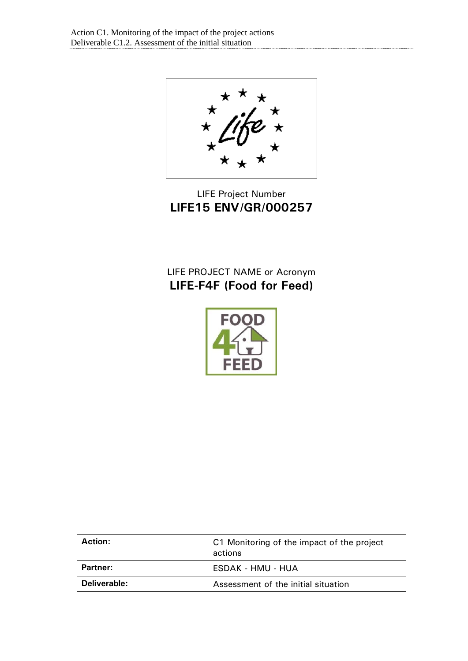LIFE Project Number **LIFE15 ENV/GR/000257**

# LIFE PROJECT NAME or Acronym **LIFE-F4F (Food for Feed)**



| <b>Action:</b> | C1 Monitoring of the impact of the project<br>actions |
|----------------|-------------------------------------------------------|
| Partner:       | ESDAK - HMU - HUA                                     |
| Deliverable:   | Assessment of the initial situation                   |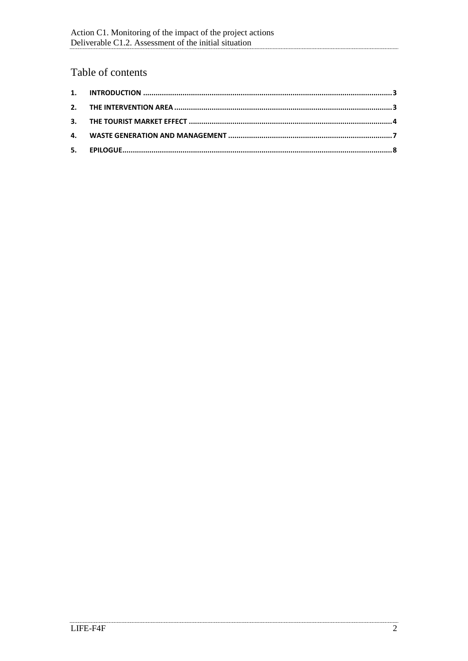## Table of contents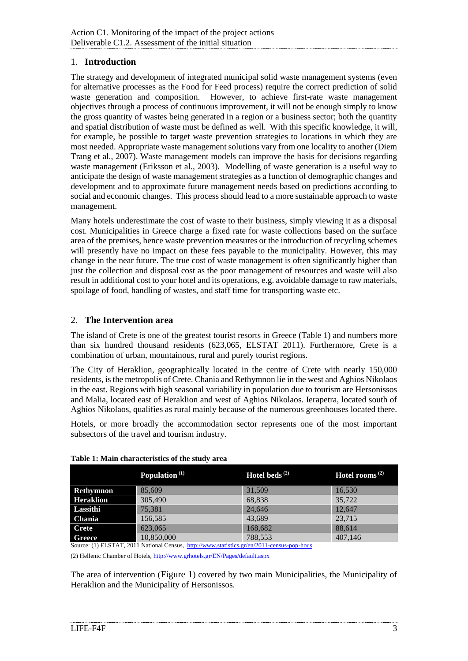#### <span id="page-2-0"></span>1. **Introduction**

The strategy and development of integrated municipal solid waste management systems (even for alternative processes as the Food for Feed process) require the correct prediction of solid waste generation and composition. However, to achieve first-rate waste management objectives through a process of continuous improvement, it will not be enough simply to know the gross quantity of wastes being generated in a region or a business sector; both the quantity and spatial distribution of waste must be defined as well. With this specific knowledge, it will, for example, be possible to target waste prevention strategies to locations in which they are most needed. Appropriate waste management solutions vary from one locality to another (Diem Trang et al., 2007). Waste management models can improve the basis for decisions regarding waste management (Eriksson et al., 2003). Modelling of waste generation is a useful way to anticipate the design of waste management strategies as a function of demographic changes and development and to approximate future management needs based on predictions according to social and economic changes. This process should lead to a more sustainable approach to waste management.

Many hotels underestimate the cost of waste to their business, simply viewing it as a disposal cost. Municipalities in Greece charge a fixed rate for waste collections based on the surface area of the premises, hence waste prevention measures or the introduction of recycling schemes will presently have no impact on these fees payable to the municipality. However, this may change in the near future. The true cost of waste management is often significantly higher than just the collection and disposal cost as the poor management of resources and waste will also result in additional cost to your hotel and its operations, e.g. avoidable damage to raw materials, spoilage of food, handling of wastes, and staff time for transporting waste etc.

#### <span id="page-2-1"></span>2. **The Intervention area**

The island of Crete is one of the greatest tourist resorts in Greece [\(Table 1\)](#page-2-2) and numbers more than six hundred thousand residents (623,065, ELSTAT 2011). Furthermore, Crete is a combination of urban, mountainous, rural and purely tourist regions.

The City of Heraklion, geographically located in the centre of Crete with nearly 150,000 residents, is the metropolis of Crete. Chania and Rethymnon lie in the west and Aghios Nikolaos in the east. Regions with high seasonal variability in population due to tourism are Hersonissos and Malia, located east of Heraklion and west of Aghios Nikolaos. Ierapetra, located south of Aghios Nikolaos, qualifies as rural mainly because of the numerous greenhouses located there.

Hotels, or more broadly the accommodation sector represents one of the most important subsectors of the travel and tourism industry.

|                  | Population <sup>(1)</sup> | <b>Hotel beds</b> $^{(2)}$ | Hotel rooms <sup><math>(2)</math></sup> |
|------------------|---------------------------|----------------------------|-----------------------------------------|
| Rethymnon        | 85,609                    | 31,509                     | 16.530                                  |
| <b>Heraklion</b> | 305,490                   | 68.838                     | 35,722                                  |
| Lassithi         | 75,381                    | 24,646                     | 12.647                                  |
| <b>Chania</b>    | 156,585                   | 43,689                     | 23,715                                  |
| <b>Crete</b>     | 623,065                   | 168,682                    | 88.614                                  |
| Greece           | 10,850,000                | 788,553                    | 407,146                                 |

<span id="page-2-2"></span>**Table 1: Main characteristics of the study area**

Source: (1) ELSTAT, 2011 National Census,<http://www.statistics.gr/en/2011-census-pop-hous>

(2) Hellenic Chamber of Hotels[, http://www.grhotels.gr/EN/Pages/default.aspx](http://www.grhotels.gr/EN/Pages/default.aspx)

The area of intervention ([Figure 1](#page-3-1)) covered by two main Municipalities, the Municipality of Heraklion and the Municipality of Hersonissos.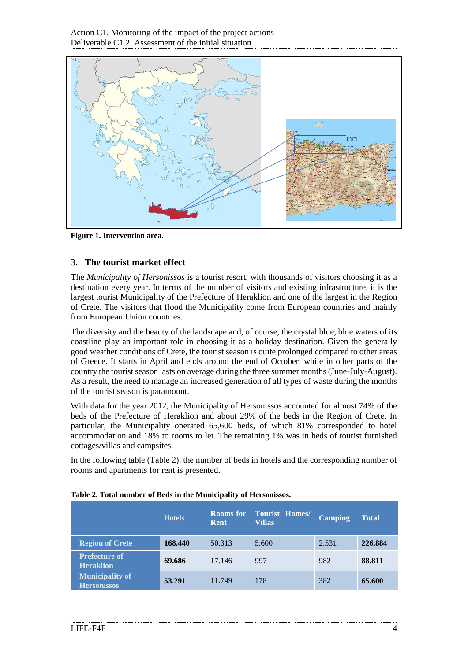

<span id="page-3-1"></span>**Figure 1. Intervention area.**

#### <span id="page-3-0"></span>3. **The tourist market effect**

The *Municipality of Hersonissos* is a tourist resort, with thousands of visitors choosing it as a destination every year. In terms of the number of visitors and existing infrastructure, it is the largest tourist Municipality of the Prefecture of Heraklion and one of the largest in the Region of Crete. The visitors that flood the Municipality come from European countries and mainly from European Union countries.

The diversity and the beauty of the landscape and, of course, the crystal blue, blue waters of its coastline play an important role in choosing it as a holiday destination. Given the generally good weather conditions of Crete, the tourist season is quite prolonged compared to other areas of Greece. It starts in April and ends around the end of October, while in other parts of the country the tourist season lasts on average during the three summer months (June-July-August). As a result, the need to manage an increased generation of all types of waste during the months of the tourist season is paramount.

With data for the year 2012, the Municipality of Hersonissos accounted for almost 74% of the beds of the Prefecture of Heraklion and about 29% of the beds in the Region of Crete. In particular, the Municipality operated 65,600 beds, of which 81% corresponded to hotel accommodation and 18% to rooms to let. The remaining 1% was in beds of tourist furnished cottages/villas and campsites.

In the following table [\(Table](#page-3-2) 2), the number of beds in hotels and the corresponding number of rooms and apartments for rent is presented.

|                                              | <b>Hotels</b> | <b>Rooms</b> for<br><b>Rent</b> | <b>Tourist Homes/</b><br><b>Villas</b> | <b>Camping</b> | <b>Total</b> |
|----------------------------------------------|---------------|---------------------------------|----------------------------------------|----------------|--------------|
| <b>Region of Crete</b>                       | 168,440       | 50.313                          | 5.600                                  | 2.531          | 226.884      |
| <b>Prefecture of</b><br><b>Heraklion</b>     | 69.686        | 17.146                          | 997                                    | 982            | 88.811       |
| <b>Municipality of</b><br><b>Hersonissos</b> | 53.291        | 11.749                          | 178                                    | 382            | 65.600       |

#### <span id="page-3-2"></span>**Table 2. Total number of Beds in the Municipality of Hersonissos.**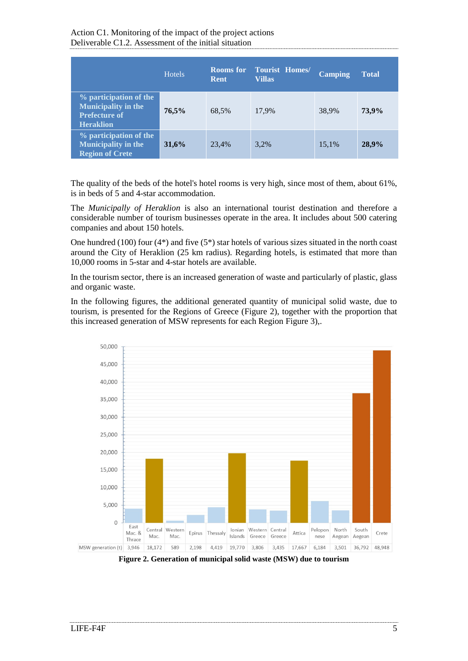|                                                                                                  | <b>Hotels</b> | <b>Rooms</b> for<br>Rent | <b>Tourist Homes/</b><br>Villas | <b>Camping</b> | <b>Total</b> |
|--------------------------------------------------------------------------------------------------|---------------|--------------------------|---------------------------------|----------------|--------------|
| % participation of the<br><b>Municipality in the</b><br><b>Prefecture of</b><br><b>Heraklion</b> | 76,5%         | 68,5%                    | 17,9%                           | 38,9%          | 73.9%        |
| % participation of the<br><b>Municipality in the</b><br><b>Region of Crete</b>                   | 31,6%         | 23,4%                    | 3,2%                            | 15,1%          | 28,9%        |

The quality of the beds of the hotel's hotel rooms is very high, since most of them, about 61%, is in beds of 5 and 4-star accommodation.

The *Municipally of Heraklion* is also an international tourist destination and therefore a considerable number of tourism businesses operate in the area. It includes about 500 catering companies and about 150 hotels.

One hundred (100) four  $(4^*)$  and five  $(5^*)$  star hotels of various sizes situated in the north coast around the City of Heraklion (25 km radius). Regarding hotels, is estimated that more than 10,000 rooms in 5-star and 4-star hotels are available.

In the tourism sector, there is an increased generation of waste and particularly of plastic, glass and organic waste.

In the following figures, the additional generated quantity of municipal solid waste, due to tourism, is presented for the Regions of Greece [\(Figure 2\)](#page-4-0), together with the proportion that this increased generation of MSW represents for each Region [Figure 3\)](#page-5-0),.



<span id="page-4-0"></span>**Figure 2. Generation of municipal solid waste (MSW) due to tourism**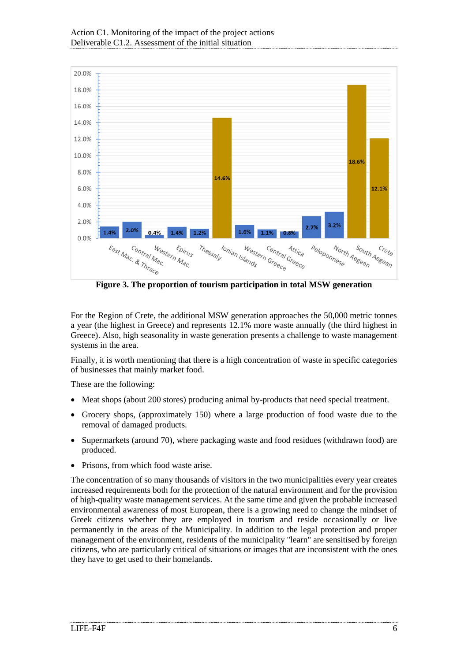

<span id="page-5-0"></span>**Figure 3. The proportion of tourism participation in total MSW generation**

For the Region of Crete, the additional MSW generation approaches the 50,000 metric tonnes a year (the highest in Greece) and represents 12.1% more waste annually (the third highest in Greece). Also, high seasonality in waste generation presents a challenge to waste management systems in the area.

Finally, it is worth mentioning that there is a high concentration of waste in specific categories of businesses that mainly market food.

These are the following:

- Meat shops (about 200 stores) producing animal by-products that need special treatment.
- Grocery shops, (approximately 150) where a large production of food waste due to the removal of damaged products.
- Supermarkets (around 70), where packaging waste and food residues (withdrawn food) are produced.
- Prisons, from which food waste arise.

The concentration of so many thousands of visitors in the two municipalities every year creates increased requirements both for the protection of the natural environment and for the provision of high-quality waste management services. At the same time and given the probable increased environmental awareness of most European, there is a growing need to change the mindset of Greek citizens whether they are employed in tourism and reside occasionally or live permanently in the areas of the Municipality. In addition to the legal protection and proper management of the environment, residents of the municipality "learn" are sensitised by foreign citizens, who are particularly critical of situations or images that are inconsistent with the ones they have to get used to their homelands.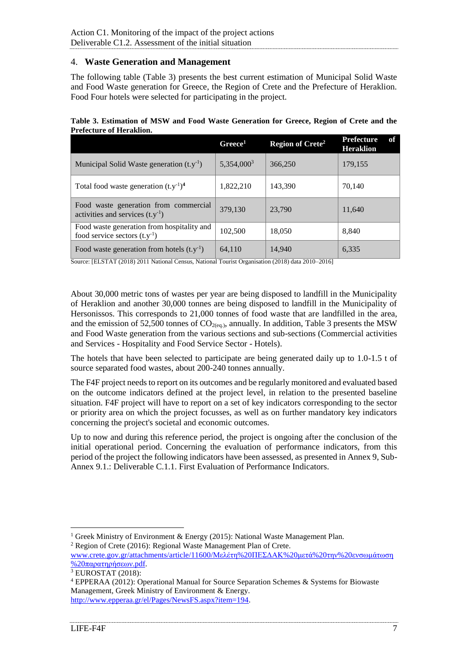#### <span id="page-6-0"></span>4. **Waste Generation and Management**

The following table [\(Table 3\)](#page-6-1) presents the best current estimation of Municipal Solid Waste and Food Waste generation for Greece, the Region of Crete and the Prefecture of Heraklion. Food Four hotels were selected for participating in the project.

<span id="page-6-1"></span>

| Table 3. Estimation of MSW and Food Waste Generation for Greece, Region of Crete and the |  |  |  |  |
|------------------------------------------------------------------------------------------|--|--|--|--|
| <b>Prefecture of Heraklion.</b>                                                          |  |  |  |  |

|                                                                                 | Greeze <sup>1</sup>    | <b>Region of Crete<sup>2</sup></b> | <b>Prefecture</b><br>оf<br><b>Heraklion</b> |
|---------------------------------------------------------------------------------|------------------------|------------------------------------|---------------------------------------------|
| Municipal Solid Waste generation $(t.y^{-1})$                                   | 5,354,000 <sup>3</sup> | 366,250                            | 179,155                                     |
| Total food waste generation $(t.y^{-1})^4$                                      | 1,822,210              | 143,390                            | 70,140                                      |
| Food waste generation from commercial<br>activities and services $(t.y^{-1})$   | 379,130                | 23,790                             | 11,640                                      |
| Food waste generation from hospitality and<br>food service sectors $(t.y^{-1})$ | 102,500                | 18,050                             | 8,840                                       |
| Food waste generation from hotels $(t.y^{-1})$                                  | 64,110                 | 14,940                             | 6,335                                       |

Source: [ELSTAT (2018) 2011 National Census, National Tourist Organisation (2018) data 2010–2016]

About 30,000 metric tons of wastes per year are being disposed to landfill in the Municipality of Heraklion and another 30,000 tonnes are being disposed to landfill in the Municipality of Hersonissos. This corresponds to 21,000 tonnes of food waste that are landfilled in the area, and the emission of 52,500 tonnes of  $CO<sub>2(ea)</sub>$ , annually. In addition, [Table 3](#page-6-1) presents the MSW and Food Waste generation from the various sections and sub-sections (Commercial activities and Services - Hospitality and Food Service Sector - Hotels).

The hotels that have been selected to participate are being generated daily up to 1.0-1.5 t of source separated food wastes, about 200-240 tonnes annually.

The F4F project needs to report on its outcomes and be regularly monitored and evaluated based on the outcome indicators defined at the project level, in relation to the presented baseline situation. F4F project will have to report on a set of key indicators corresponding to the sector or priority area on which the project focusses, as well as on further mandatory key indicators concerning the project's societal and economic outcomes.

Up to now and during this reference period, the project is ongoing after the conclusion of the initial operational period. Concerning the evaluation of performance indicators, from this period of the project the following indicators have been assessed, as presented in Annex 9, Sub-Annex 9.1.: Deliverable C.1.1. First Evaluation of Performance Indicators.

1

<sup>&</sup>lt;sup>1</sup> Greek Ministry of Environment & Energy (2015): National Waste Management Plan.

<sup>2</sup> Region of Crete (2016): Regional Waste Management Plan of Crete. [www.crete.gov.gr/attachments/article/11600/Μελέτη%20ΠΕΣΔΑΚ%20μετά%20την%20ενσωμάτωση](http://www.crete.gov.gr/attachments/article/11600/Μελέτη%20ΠΕΣΔΑΚ%20μετά%20την%20ενσωμάτωση%20παρατηρήσεων.pdf) [%20παρατηρήσεων.pdf.](http://www.crete.gov.gr/attachments/article/11600/Μελέτη%20ΠΕΣΔΑΚ%20μετά%20την%20ενσωμάτωση%20παρατηρήσεων.pdf)

 $3$  EUROSTAT (2018):

<sup>4</sup> EPPERAA (2012): Operational Manual for Source Separation Schemes & Systems for Biowaste Management, Greek Ministry of Environment & Energy. [http://www.epperaa.gr/el/Pages/NewsFS.aspx?item=194.](http://www.epperaa.gr/el/Pages/NewsFS.aspx?item=194)